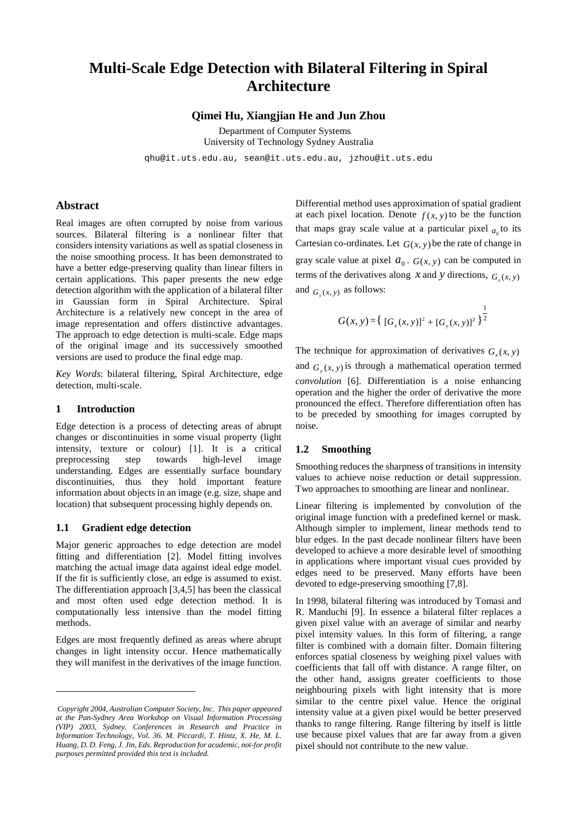# **Multi-Scale Edge Detection with Bilateral Filtering in Spiral Architecture**

**Qimei Hu, Xiangjian He and Jun Zhou** 

Department of Computer Systems University of Technology Sydney Australia

qhu@it.uts.edu.au, sean@it.uts.edu.au, jzhou@it.uts.edu

## **Abstract**

Real images are often corrupted by noise from various sources. Bilateral filtering is a nonlinear filter that considers intensity variations as well as spatial closeness in the noise smoothing process. It has been demonstrated to have a better edge-preserving quality than linear filters in certain applications. This paper presents the new edge detection algorithm with the application of a bilateral filter in Gaussian form in Spiral Architecture. Spiral Architecture is a relatively new concept in the area of image representation and offers distinctive advantages. The approach to edge detection is multi-scale. Edge maps of the original image and its successively smoothed versions are used to produce the final edge map.

*Key Words*: bilateral filtering, Spiral Architecture, edge detection, multi-scale.

#### **1 Introduction**

l

Edge detection is a process of detecting areas of abrupt changes or discontinuities in some visual property (light intensity, texture or colour) [1]. It is a critical preprocessing step towards high-level image understanding. Edges are essentially surface boundary discontinuities, thus they hold important feature information about objects in an image (e.g. size, shape and location) that subsequent processing highly depends on.

#### **1.1 Gradient edge detection**

Major generic approaches to edge detection are model fitting and differentiation [2]. Model fitting involves matching the actual image data against ideal edge model. If the fit is sufficiently close, an edge is assumed to exist. The differentiation approach [3,4,5] has been the classical and most often used edge detection method. It is computationally less intensive than the model fitting methods.

Edges are most frequently defined as areas where abrupt changes in light intensity occur. Hence mathematically they will manifest in the derivatives of the image function.

Differential method uses approximation of spatial gradient at each pixel location. Denote  $f(x, y)$  to be the function that maps gray scale value at a particular pixel  $a<sub>0</sub>$  to its Cartesian co-ordinates. Let  $G(x, y)$  be the rate of change in gray scale value at pixel  $a_0$ .  $G(x, y)$  can be computed in terms of the derivatives along *x* and *y* directions,  $G_r(x, y)$ and  $G(x, y)$  as follows:

$$
G(x, y) = \left\{ [G_x(x, y)]^2 + [G_y(x, y)]^2 \right\}^{\frac{1}{2}}
$$

The technique for approximation of derivatives  $G(x, y)$ and  $G(x, y)$  is through a mathematical operation termed *convolution* [6]. Differentiation is a noise enhancing operation and the higher the order of derivative the more pronounced the effect. Therefore differentiation often has to be preceded by smoothing for images corrupted by noise.

#### **1.2 Smoothing**

Smoothing reduces the sharpness of transitions in intensity values to achieve noise reduction or detail suppression. Two approaches to smoothing are linear and nonlinear.

Linear filtering is implemented by convolution of the original image function with a predefined kernel or mask. Although simpler to implement, linear methods tend to blur edges. In the past decade nonlinear filters have been developed to achieve a more desirable level of smoothing in applications where important visual cues provided by edges need to be preserved. Many efforts have been devoted to edge-preserving smoothing [7,8].

In 1998, bilateral filtering was introduced by Tomasi and R. Manduchi [9]. In essence a bilateral filter replaces a given pixel value with an average of similar and nearby pixel intensity values. In this form of filtering, a range filter is combined with a domain filter. Domain filtering enforces spatial closeness by weighing pixel values with coefficients that fall off with distance. A range filter, on the other hand, assigns greater coefficients to those neighbouring pixels with light intensity that is more similar to the centre pixel value. Hence the original intensity value at a given pixel would be better preserved thanks to range filtering. Range filtering by itself is little use because pixel values that are far away from a given pixel should not contribute to the new value.

*Copyright 2004, Australian Computer Society, Inc. This paper appeared at the Pan-Sydney Area Workshop on Visual Information Processing (VIP) 2003, Sydney. Conferences in Research and Practice in Information Technology, Vol. 36. M. Piccardi, T. Hintz, X. He, M. L. Huang, D. D. Feng, J. Jin, Eds. Reproduction for academic, not-for profit purposes permitted provided this text is included.*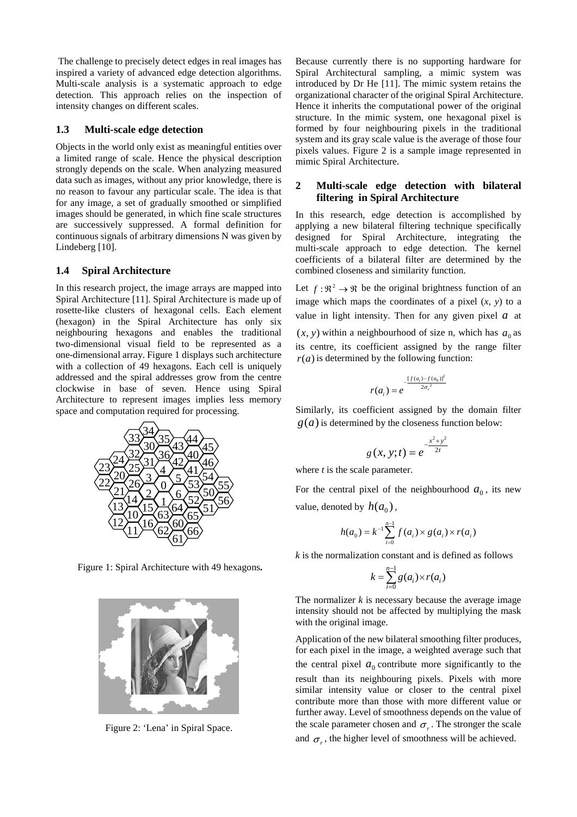The challenge to precisely detect edges in real images has inspired a variety of advanced edge detection algorithms. Multi-scale analysis is a systematic approach to edge detection. This approach relies on the inspection of intensity changes on different scales.

## **1.3 Multi-scale edge detection**

Objects in the world only exist as meaningful entities over a limited range of scale. Hence the physical description strongly depends on the scale. When analyzing measured data such as images, without any prior knowledge, there is no reason to favour any particular scale. The idea is that for any image, a set of gradually smoothed or simplified images should be generated, in which fine scale structures are successively suppressed. A formal definition for continuous signals of arbitrary dimensions N was given by Lindeberg [10].

# **1.4 Spiral Architecture**

In this research project, the image arrays are mapped into Spiral Architecture [11]. Spiral Architecture is made up of rosette-like clusters of hexagonal cells. Each element (hexagon) in the Spiral Architecture has only six neighbouring hexagons and enables the traditional two-dimensional visual field to be represented as a one-dimensional array. Figure 1 displays such architecture with a collection of 49 hexagons. Each cell is uniquely addressed and the spiral addresses grow from the centre clockwise in base of seven. Hence using Spiral Architecture to represent images implies less memory space and computation required for processing.



Figure 1: Spiral Architecture with 49 hexagons**.** 



Figure 2: 'Lena' in Spiral Space.

Because currently there is no supporting hardware for Spiral Architectural sampling, a mimic system was introduced by Dr He [11]. The mimic system retains the organizational character of the original Spiral Architecture. Hence it inherits the computational power of the original structure. In the mimic system, one hexagonal pixel is formed by four neighbouring pixels in the traditional system and its gray scale value is the average of those four pixels values. Figure 2 is a sample image represented in mimic Spiral Architecture.

# **2 Multi-scale edge detection with bilateral filtering in Spiral Architecture**

In this research, edge detection is accomplished by applying a new bilateral filtering technique specifically designed for Spiral Architecture, integrating the multi-scale approach to edge detection. The kernel coefficients of a bilateral filter are determined by the combined closeness and similarity function.

Let  $f: \mathbb{R}^2 \to \mathbb{R}$  be the original brightness function of an image which maps the coordinates of a pixel (*x*, *y*) to a value in light intensity. Then for any given pixel  $a$  at  $(x, y)$  within a neighbourhood of size n, which has  $a_0$  as its centre, its coefficient assigned by the range filter *r*(*a*) is determined by the following function:<br>  $[r(a)]^2$ 

$$
r(a_i) = e^{-\frac{[f(a_i) - f(a_0)]^2}{2\sigma_r^2}}
$$

Similarly, its coefficient assigned by the domain filter  $g(a)$  is determined by the closeness function below:

$$
g(x, y; t) = e^{-\frac{x^2 + y^2}{2t}}
$$

where *t* is the scale parameter.

For the central pixel of the neighbourhood  $a_0$ , its new value, denoted by  $h(a_0)$ ,

$$
h(a_0) = k^{-1} \sum_{i=0}^{n-1} f(a_i) \times g(a_i) \times r(a_i)
$$

*k* is the normalization constant and is defined as follows

$$
k = \sum_{i=0}^{n-1} g(a_i) \times r(a_i)
$$

The normalizer *k* is necessary because the average image intensity should not be affected by multiplying the mask with the original image.

Application of the new bilateral smoothing filter produces, for each pixel in the image, a weighted average such that the central pixel  $a_0$  contribute more significantly to the result than its neighbouring pixels. Pixels with more similar intensity value or closer to the central pixel contribute more than those with more different value or further away. Level of smoothness depends on the value of the scale parameter chosen and  $\sigma_r$ . The stronger the scale and  $\sigma_r$ , the higher level of smoothness will be achieved.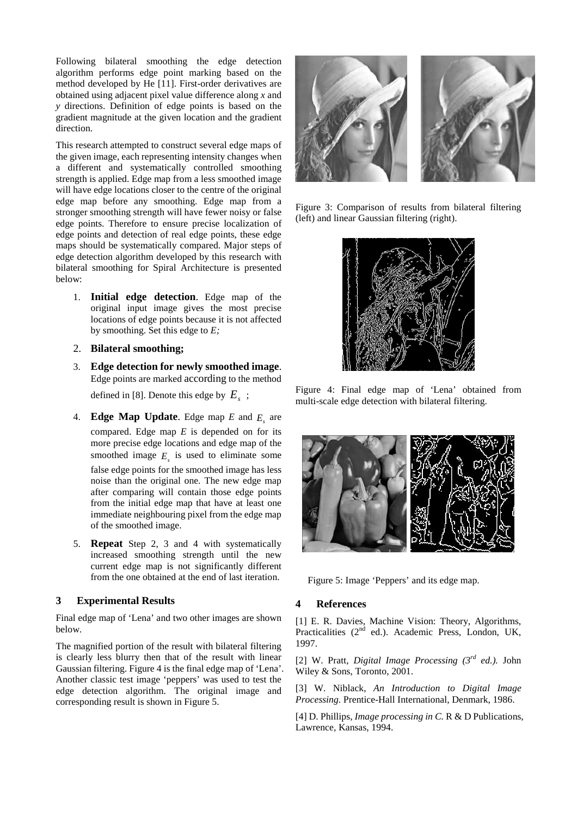Following bilateral smoothing the edge detection algorithm performs edge point marking based on the method developed by He [11]. First-order derivatives are obtained using adjacent pixel value difference along *x* and *y* directions. Definition of edge points is based on the gradient magnitude at the given location and the gradient direction.

This research attempted to construct several edge maps of the given image, each representing intensity changes when a different and systematically controlled smoothing strength is applied. Edge map from a less smoothed image will have edge locations closer to the centre of the original edge map before any smoothing. Edge map from a stronger smoothing strength will have fewer noisy or false edge points. Therefore to ensure precise localization of edge points and detection of real edge points, these edge maps should be systematically compared. Major steps of edge detection algorithm developed by this research with bilateral smoothing for Spiral Architecture is presented below:

- 1. **Initial edge detection**. Edge map of the original input image gives the most precise locations of edge points because it is not affected by smoothing. Set this edge to *E;*
- 2. **Bilateral smoothing;**
- 3. **Edge detection for newly smoothed image**. Edge points are marked according to the method defined in [8]. Denote this edge by  $E<sub>s</sub>$ ;
- 4. **Edge Map Update**. Edge map  $E$  and  $E<sub>s</sub>$  are compared. Edge map *E* is depended on for its more precise edge locations and edge map of the smoothed image  $E<sub>s</sub>$  is used to eliminate some false edge points for the smoothed image has less noise than the original one. The new edge map after comparing will contain those edge points from the initial edge map that have at least one immediate neighbouring pixel from the edge map of the smoothed image.
- 5. **Repeat** Step 2, 3 and 4 with systematically increased smoothing strength until the new current edge map is not significantly different from the one obtained at the end of last iteration.

## **3 Experimental Results**

Final edge map of 'Lena' and two other images are shown below.

The magnified portion of the result with bilateral filtering is clearly less blurry then that of the result with linear Gaussian filtering. Figure 4 is the final edge map of 'Lena'. Another classic test image 'peppers' was used to test the edge detection algorithm. The original image and corresponding result is shown in Figure 5.



Figure 3: Comparison of results from bilateral filtering (left) and linear Gaussian filtering (right).



Figure 4: Final edge map of 'Lena' obtained from multi-scale edge detection with bilateral filtering.



Figure 5: Image 'Peppers' and its edge map.

## **4 References**

[1] E. R. Davies, Machine Vision: Theory, Algorithms, Practicalities (2<sup>nd</sup> ed.). Academic Press, London, UK, 1997.

[2] W. Pratt, *Digital Image Processing (3rd ed.).* John Wiley & Sons, Toronto, 2001.

[3] W. Niblack, *An Introduction to Digital Image Processing.* Prentice-Hall International, Denmark, 1986.

[4] D. Phillips, *Image processing in C.* R & D Publications, Lawrence, Kansas, 1994.